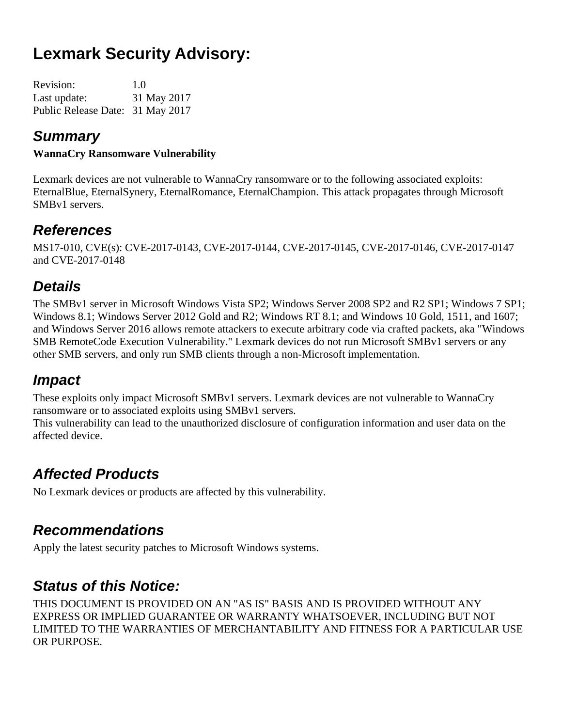# **Lexmark Security Advisory:**

| <b>Revision:</b>                 | 1.0         |
|----------------------------------|-------------|
| Last update:                     | 31 May 2017 |
| Public Release Date: 31 May 2017 |             |

#### *Summary*

#### **WannaCry Ransomware Vulnerability**

Lexmark devices are not vulnerable to WannaCry ransomware or to the following associated exploits: EternalBlue, EternalSynery, EternalRomance, EternalChampion. This attack propagates through Microsoft SMBv1 servers.

#### *References*

MS17-010, CVE(s): CVE-2017-0143, CVE-2017-0144, CVE-2017-0145, CVE-2017-0146, CVE-2017-0147 and CVE-2017-0148

# *Details*

The SMBv1 server in Microsoft Windows Vista SP2; Windows Server 2008 SP2 and R2 SP1; Windows 7 SP1; Windows 8.1; Windows Server 2012 Gold and R2; Windows RT 8.1; and Windows 10 Gold, 1511, and 1607; and Windows Server 2016 allows remote attackers to execute arbitrary code via crafted packets, aka "Windows SMB RemoteCode Execution Vulnerability." Lexmark devices do not run Microsoft SMBv1 servers or any other SMB servers, and only run SMB clients through a non-Microsoft implementation.

## *Impact*

These exploits only impact Microsoft SMBv1 servers. Lexmark devices are not vulnerable to WannaCry ransomware or to associated exploits using SMBv1 servers.

This vulnerability can lead to the unauthorized disclosure of configuration information and user data on the affected device.

# *Affected Products*

No Lexmark devices or products are affected by this vulnerability.

## *Recommendations*

Apply the latest security patches to Microsoft Windows systems.

## *Status of this Notice:*

THIS DOCUMENT IS PROVIDED ON AN "AS IS" BASIS AND IS PROVIDED WITHOUT ANY EXPRESS OR IMPLIED GUARANTEE OR WARRANTY WHATSOEVER, INCLUDING BUT NOT LIMITED TO THE WARRANTIES OF MERCHANTABILITY AND FITNESS FOR A PARTICULAR USE OR PURPOSE.